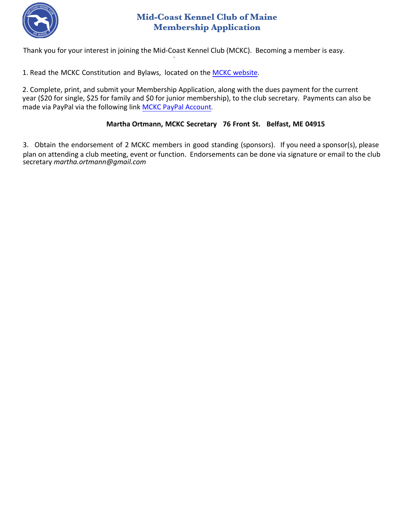

## **Mid-Coast Kennel Club of Maine Membership Application**

Thank you for your interest in joining the Mid-Coast Kennel Club (MCKC). Becoming a member is easy.

1. Read the MCKC Constitution and Bylaws, located on the [MCKC website.](https://www.midcoastkennelclub.org/)

2. Complete, print, and submit your Membership Application, along with the dues payment for the current year (\$20 for single, \$25 for family and \$0 for junior membership), to the club secretary. Payments can also be made via PayPal via the following link [MCKC PayPal](https://www.paypal.com/paypalme/MidCoastKennelClub?locale.x=en_US) Account.

## **Martha Ortmann, MCKC Secretary 76 Front St. Belfast, ME 04915**

3. Obtain the endorsement of 2 MCKC members in good standing (sponsors). If you need a sponsor(s), please plan on attending a club meeting, event or function. Endorsements can be done via signature or email to the club secretary *martha.ortmann@gmail.com*